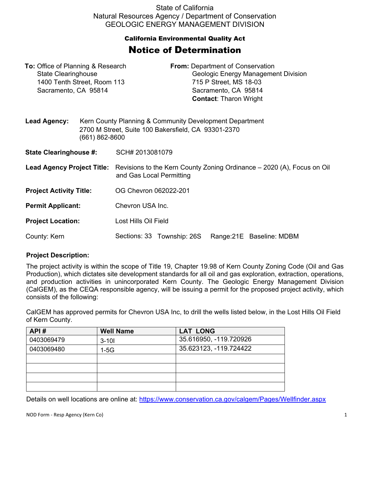State of California Natural Resources Agency / Department of Conservation GEOLOGIC ENERGY MANAGEMENT DIVISION

## California Environmental Quality Act Notice of Determination

| <b>To:</b> Office of Planning & Research<br><b>State Clearinghouse</b><br>1400 Tenth Street, Room 113<br>Sacramento, CA 95814 |                | <b>From:</b> Department of Conservation<br>Geologic Energy Management Division<br>715 P Street, MS 18-03<br>Sacramento, CA 95814<br><b>Contact: Tharon Wright</b> |  |  |  |  |
|-------------------------------------------------------------------------------------------------------------------------------|----------------|-------------------------------------------------------------------------------------------------------------------------------------------------------------------|--|--|--|--|
| <b>Lead Agency:</b>                                                                                                           | (661) 862-8600 | Kern County Planning & Community Development Department<br>2700 M Street, Suite 100 Bakersfield, CA 93301-2370                                                    |  |  |  |  |
| <b>State Clearinghouse #:</b>                                                                                                 |                | SCH# 2013081079                                                                                                                                                   |  |  |  |  |
| <b>Lead Agency Project Title:</b>                                                                                             |                | Revisions to the Kern County Zoning Ordinance – 2020 (A), Focus on Oil<br>and Gas Local Permitting                                                                |  |  |  |  |
| <b>Project Activity Title:</b>                                                                                                |                | OG Chevron 062022-201                                                                                                                                             |  |  |  |  |
| <b>Permit Applicant:</b>                                                                                                      |                | Chevron USA Inc.                                                                                                                                                  |  |  |  |  |
| <b>Project Location:</b>                                                                                                      |                | Lost Hills Oil Field                                                                                                                                              |  |  |  |  |
| County: Kern                                                                                                                  |                | Sections: 33 Township: 26S<br>Range: 21E Baseline: MDBM                                                                                                           |  |  |  |  |

## **Project Description:**

The project activity is within the scope of Title 19, Chapter 19.98 of Kern County Zoning Code (Oil and Gas Production), which dictates site development standards for all oil and gas exploration, extraction, operations, and production activities in unincorporated Kern County. The Geologic Energy Management Division (CalGEM), as the CEQA responsible agency, will be issuing a permit for the proposed project activity, which consists of the following:

CalGEM has approved permits for Chevron USA Inc, to drill the wells listed below, in the Lost Hills Oil Field of Kern County.

| API#       | <b>Well Name</b> | <b>LAT LONG</b>        |
|------------|------------------|------------------------|
| 0403069479 | $3 - 101$        | 35.616950, -119.720926 |
| 0403069480 | $1-5G$           | 35.623123, -119.724422 |
|            |                  |                        |
|            |                  |                        |
|            |                  |                        |
|            |                  |                        |

Details on well locations are online at:<https://www.conservation.ca.gov/calgem/Pages/Wellfinder.aspx>